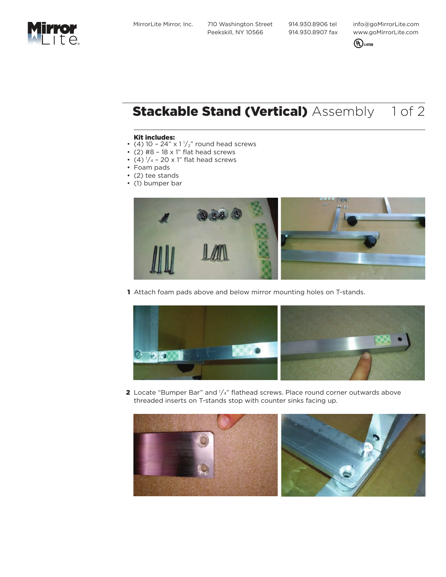MirrorLite Mirror, Inc. 710 Washington Street Peekskill, NY 10566

 914.930.8906 tel 914.930.8907 fax info@goMirrorLite.com www.goMirrorLite.com



## **Stackable Stand (Vertical)** Assembly 1 of 2

## Kit includes:

- (4) 10 24"  $\times$  1 $\frac{1}{2}$ " round head screws
- (2)  $#8 18 \times 1"$  flat head screws
- (4)  $1/4$  20 x 1" flat head screws
- Foam pads
- (2) tee stands
- (1) bumper bar



1 Attach foam pads above and below mirror mounting holes on T-stands.



**2** Locate "Bumper Bar" and  $\frac{1}{4}$ " flathead screws. Place round corner outwards above threaded inserts on T-stands stop with counter sinks facing up.